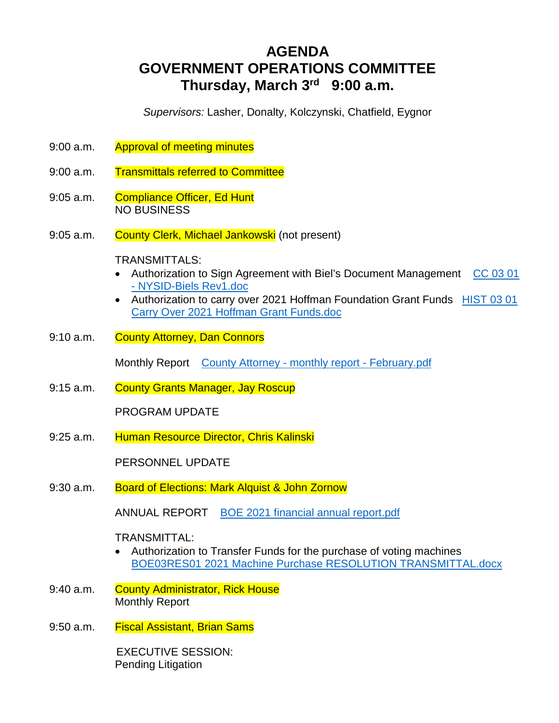# **AGENDA GOVERNMENT OPERATIONS COMMITTEE Thursday, March 3rd 9:00 a.m.**

*Supervisors:* Lasher, Donalty, Kolczynski, Chatfield, Eygnor

- 9:00 a.m. Approval of meeting minutes
- 9:00 a.m. Transmittals referred to Committee
- 9:05 a.m. Compliance Officer, Ed Hunt NO BUSINESS
- 9:05 a.m. County Clerk, Michael Jankowski (not present)

TRANSMITTALS:

- Authorization to Sign Agreement with Biel's Document Management CC 03 01 - NYSID-Biels Rev1.doc
- Authorization to carry over 2021 Hoffman Foundation Grant Funds HIST 03 01 Carry Over 2021 Hoffman Grant Funds.doc
- 9:10 a.m. County Attorney, Dan Connors

Monthly Report County Attorney - monthly report - February.pdf

9:15 a.m. County Grants Manager, Jay Roscup

PROGRAM UPDATE

9:25 a.m. Human Resource Director, Chris Kalinski

PERSONNEL UPDATE

9:30 a.m. Board of Elections: Mark Alquist & John Zornow

ANNUAL REPORT BOE 2021 financial annual report.pdf

TRANSMITTAL:

- Authorization to Transfer Funds for the purchase of voting machines BOE03RES01 2021 Machine Purchase RESOLUTION TRANSMITTAL.docx
- 9:40 a.m. County Administrator, Rick House Monthly Report
- 9:50 a.m. Fiscal Assistant, Brian Sams

 EXECUTIVE SESSION: Pending Litigation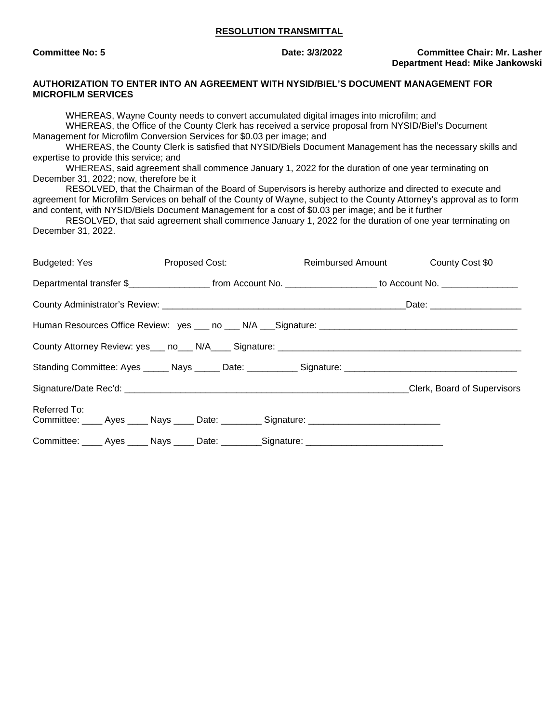## **RESOLUTION TRANSMITTAL**

**Committee No: 5 Date: 3/3/2022 Committee Chair: Mr. Lasher Department Head: Mike Jankowski**

## **AUTHORIZATION TO ENTER INTO AN AGREEMENT WITH NYSID/BIEL'S DOCUMENT MANAGEMENT FOR MICROFILM SERVICES**

WHEREAS, Wayne County needs to convert accumulated digital images into microfilm; and WHEREAS, the Office of the County Clerk has received a service proposal from NYSID/Biel's Document Management for Microfilm Conversion Services for \$0.03 per image; and WHEREAS, the County Clerk is satisfied that NYSID/Biels Document Management has the necessary skills and expertise to provide this service; and WHEREAS, said agreement shall commence January 1, 2022 for the duration of one year terminating on December 31, 2022; now, therefore be it RESOLVED, that the Chairman of the Board of Supervisors is hereby authorize and directed to execute and agreement for Microfilm Services on behalf of the County of Wayne, subject to the County Attorney's approval as to form and content, with NYSID/Biels Document Management for a cost of \$0.03 per image; and be it further RESOLVED, that said agreement shall commence January 1, 2022 for the duration of one year terminating on December 31, 2022. Budgeted: Yes **Proposed Cost:** Reimbursed Amount County Cost \$0 Departmental transfer \$\_\_\_\_\_\_\_\_\_\_\_\_\_\_\_\_\_\_\_\_ from Account No. \_\_\_\_\_\_\_\_\_\_\_\_\_\_\_\_\_\_\_ to Account No. \_\_\_\_\_\_\_\_\_\_\_\_\_ County Administrator's Review: etc. and the country Administrator's Review: etc. and the country and the country of the country of the country and the country of the country of the country of the country of the country of Human Resources Office Review: yes \_\_\_ no \_\_\_ N/A \_\_\_Signature: \_\_\_\_\_\_\_\_\_\_\_\_\_\_\_\_\_\_\_\_\_\_\_\_\_\_\_\_\_\_\_\_\_\_\_\_\_\_\_ County Attorney Review: yes\_\_\_ no\_\_\_ N/A\_\_\_\_ Signature: \_\_\_\_\_\_\_\_\_\_\_\_\_\_\_\_\_\_\_\_\_\_\_\_\_\_\_\_\_\_\_\_\_\_\_\_\_\_\_\_\_\_\_\_\_\_\_\_ Standing Committee: Ayes \_\_\_\_\_ Nays \_\_\_\_\_ Date: \_\_\_\_\_\_\_\_\_\_ Signature: \_\_\_\_\_\_\_\_\_\_ Signature/Date Rec'd: \_\_\_\_\_\_\_\_\_\_\_\_\_\_\_\_\_\_\_\_\_\_\_\_\_\_\_\_\_\_\_\_\_\_\_\_\_\_\_\_\_\_\_\_\_\_\_\_\_\_\_\_\_\_\_\_Clerk, Board of Supervisors Referred To:

Committee: \_\_\_\_\_ Ayes \_\_\_\_\_ Nays \_\_\_\_\_ Date: \_\_\_\_\_\_\_\_\_ Signature: \_\_\_\_\_\_\_\_\_\_\_\_\_\_\_\_\_\_\_\_\_\_\_\_\_\_\_\_\_\_\_\_\_ Committee: \_\_\_\_ Ayes \_\_\_\_ Nays \_\_\_\_ Date: \_\_\_\_\_\_\_\_ Signature: \_\_\_\_\_\_\_\_\_\_\_\_\_\_\_\_\_\_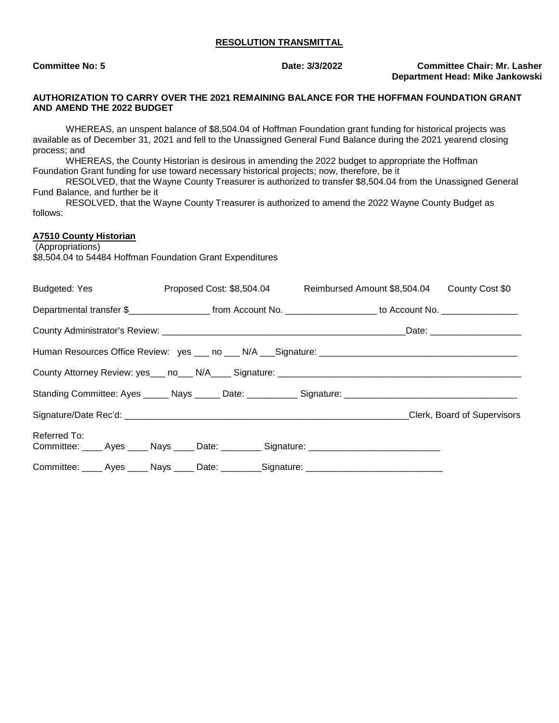#### **RESOLUTION TRANSMITTAL**

**Committee No: 5 Date: 3/3/2022 Committee Chair: Mr. Lasher Department Head: Mike Jankowski**

## **AUTHORIZATION TO CARRY OVER THE 2021 REMAINING BALANCE FOR THE HOFFMAN FOUNDATION GRANT AND AMEND THE 2022 BUDGET**

WHEREAS, an unspent balance of \$8,504.04 of Hoffman Foundation grant funding for historical projects was available as of December 31, 2021 and fell to the Unassigned General Fund Balance during the 2021 yearend closing process; and

WHEREAS, the County Historian is desirous in amending the 2022 budget to appropriate the Hoffman Foundation Grant funding for use toward necessary historical projects; now, therefore, be it

RESOLVED, that the Wayne County Treasurer is authorized to transfer \$8,504.04 from the Unassigned General Fund Balance, and further be it

RESOLVED, that the Wayne County Treasurer is authorized to amend the 2022 Wayne County Budget as follows:

## **A7510 County Historian**

 (Appropriations) \$8,504.04 to 54484 Hoffman Foundation Grant Expenditures

| Budgeted: Yes <b>Example 20</b>                                                                                 |  | Proposed Cost: \$8,504.04 Reimbursed Amount \$8,504.04 County Cost \$0 |  |                                                                                                     |                              |  |
|-----------------------------------------------------------------------------------------------------------------|--|------------------------------------------------------------------------|--|-----------------------------------------------------------------------------------------------------|------------------------------|--|
| Departmental transfer \$______________________ from Account No. ___________________ to Account No. ____________ |  |                                                                        |  |                                                                                                     |                              |  |
|                                                                                                                 |  |                                                                        |  |                                                                                                     | Date: ______________________ |  |
|                                                                                                                 |  |                                                                        |  |                                                                                                     |                              |  |
|                                                                                                                 |  |                                                                        |  |                                                                                                     |                              |  |
|                                                                                                                 |  |                                                                        |  |                                                                                                     |                              |  |
|                                                                                                                 |  |                                                                        |  |                                                                                                     |                              |  |
| Referred To:                                                                                                    |  |                                                                        |  | Committee: _____ Ayes _____ Nays _____ Date: _________ Signature: _________________________________ |                              |  |
|                                                                                                                 |  |                                                                        |  | Committee: _____ Ayes _____ Nays _____ Date: _________Signature: __________________________________ |                              |  |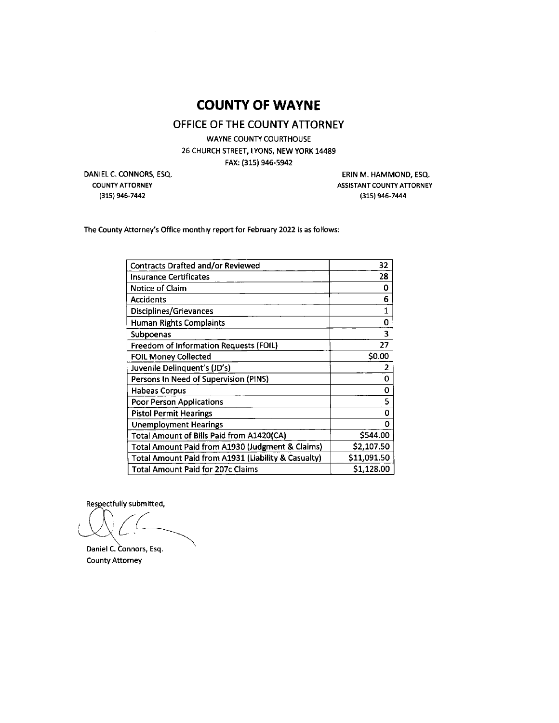## **COUNTY OF WAYNE**

## OFFICE OF THE COUNTY ATTORNEY

**WAYNE COUNTY COURTHOUSE** 26 CHURCH STREET, LYONS, NEW YORK 14489 FAX: (315) 946-5942

DANIEL C. CONNORS, ESQ. **COUNTY ATTORNEY** (315) 946-7442

ERIN M. HAMMOND, ESQ. **ASSISTANT COUNTY ATTORNEY** (315) 946-7444

The County Attorney's Office monthly report for February 2022 is as follows:

| 32          |
|-------------|
| 28          |
| Ω           |
| 6           |
| 1           |
| 0           |
| 3           |
| 27          |
| \$0.00      |
| 2           |
| 0           |
| 0           |
| 5           |
| 0           |
| n           |
| \$544.00    |
| \$2,107.50  |
| \$11,091.50 |
| \$1,128.00  |
|             |

Respectfully submitted,

Daniel C. Connors, Esq. **County Attorney**